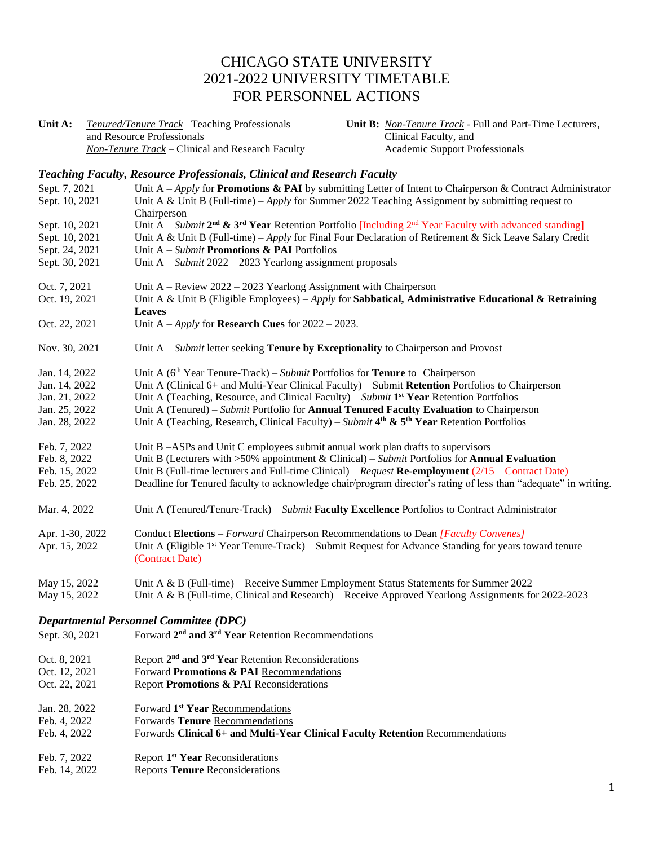# CHICAGO STATE UNIVERSITY 2021-2022 UNIVERSITY TIMETABLE FOR PERSONNEL ACTIONS

**Unit A:** *Tenured/Tenure Track –*Teaching Professionals and Resource Professionals *Non-Tenure Track –* Clinical and Research Faculty **Unit B:** *Non-Tenure Track* - Full and Part-Time Lecturers, Clinical Faculty, and Academic Support Professionals

#### *Teaching Faculty, Resource Professionals, Clinical and Research Faculty*

| Sept. 7, 2021   | Unit A – Apply for <b>Promotions &amp; PAI</b> by submitting Letter of Intent to Chairperson & Contract Administrator |
|-----------------|-----------------------------------------------------------------------------------------------------------------------|
| Sept. 10, 2021  | Unit A & Unit B (Full-time) – Apply for Summer 2022 Teaching Assignment by submitting request to                      |
|                 | Chairperson                                                                                                           |
| Sept. 10, 2021  | Unit A – Submit $2^{nd}$ & $3^{rd}$ Year Retention Portfolio [Including $2^{nd}$ Year Faculty with advanced standing] |
| Sept. 10, 2021  | Unit A & Unit B (Full-time) – Apply for Final Four Declaration of Retirement & Sick Leave Salary Credit               |
| Sept. 24, 2021  | Unit $A - Submit$ Promotions & PAI Portfolios                                                                         |
| Sept. 30, 2021  | Unit $A - Submit 2022 - 2023$ Yearlong assignment proposals                                                           |
|                 |                                                                                                                       |
| Oct. 7, 2021    | Unit A - Review 2022 - 2023 Yearlong Assignment with Chairperson                                                      |
| Oct. 19, 2021   | Unit A & Unit B (Eligible Employees) – Apply for Sabbatical, Administrative Educational & Retraining                  |
|                 | <b>Leaves</b>                                                                                                         |
| Oct. 22, 2021   | Unit $A - Apply$ for <b>Research Cues</b> for $2022 - 2023$ .                                                         |
| Nov. 30, 2021   | Unit $A - Submit$ letter seeking <b>Tenure by Exceptionality</b> to Chairperson and Provost                           |
| Jan. 14, 2022   | Unit A ( $6th$ Year Tenure-Track) – Submit Portfolios for <b>Tenure</b> to Chairperson                                |
| Jan. 14, 2022   | Unit A (Clinical 6+ and Multi-Year Clinical Faculty) – Submit Retention Portfolios to Chairperson                     |
| Jan. 21, 2022   | Unit A (Teaching, Resource, and Clinical Faculty) – Submit $1st Year$ Retention Portfolios                            |
| Jan. 25, 2022   | Unit A (Tenured) – Submit Portfolio for <b>Annual Tenured Faculty Evaluation</b> to Chairperson                       |
| Jan. 28, 2022   | Unit A (Teaching, Research, Clinical Faculty) – Submit $4th$ & 5 <sup>th</sup> Year Retention Portfolios              |
|                 |                                                                                                                       |
| Feb. 7, 2022    | Unit B -ASPs and Unit C employees submit annual work plan drafts to supervisors                                       |
| Feb. 8, 2022    | Unit B (Lecturers with $>50\%$ appointment & Clinical) – Submit Portfolios for <b>Annual Evaluation</b>               |
| Feb. 15, 2022   | Unit B (Full-time lecturers and Full-time Clinical) – Request Re-employment $(2/15 -$ Contract Date)                  |
| Feb. 25, 2022   | Deadline for Tenured faculty to acknowledge chair/program director's rating of less than "adequate" in writing.       |
| Mar. 4, 2022    | Unit A (Tenured/Tenure-Track) – Submit Faculty Excellence Portfolios to Contract Administrator                        |
| Apr. 1-30, 2022 | Conduct Elections – Forward Chairperson Recommendations to Dean [Faculty Convenes]                                    |
| Apr. 15, 2022   | Unit A (Eligible 1st Year Tenure-Track) - Submit Request for Advance Standing for years toward tenure                 |
|                 | (Contract Date)                                                                                                       |
|                 |                                                                                                                       |
| May 15, 2022    | Unit A & B (Full-time) – Receive Summer Employment Status Statements for Summer 2022                                  |
| May 15, 2022    | Unit A & B (Full-time, Clinical and Research) – Receive Approved Yearlong Assignments for $2022$ - $2023$             |
|                 | <b>Departmental Personnel Committee (DPC)</b>                                                                         |
| Sept. 30, 2021  | Forward 2 <sup>nd</sup> and 3 <sup>rd</sup> Year Retention Recommendations                                            |
|                 |                                                                                                                       |
| Oct. 8, 2021    | Report 2 <sup>nd</sup> and 3 <sup>rd</sup> Year Retention Reconsiderations                                            |
| Oct. 12, 2021   | Forward Promotions & PAI Recommendations                                                                              |
| Oct. 22, 2021   | Report Promotions & PAI Reconsiderations                                                                              |
|                 |                                                                                                                       |
| Jan. 28, 2022   | Forward 1 <sup>st</sup> Year Recommendations                                                                          |
| Feb. 4, 2022    | Forwards Tenure Recommendations                                                                                       |
| Feb. 4, 2022    | Forwards Clinical 6+ and Multi-Year Clinical Faculty Retention Recommendations                                        |
|                 |                                                                                                                       |

- Feb. 7, 2022 **Report 1<sup>st</sup> Year** Reconsiderations
- Feb. 14, 2022 Reports **Tenure** Reconsiderations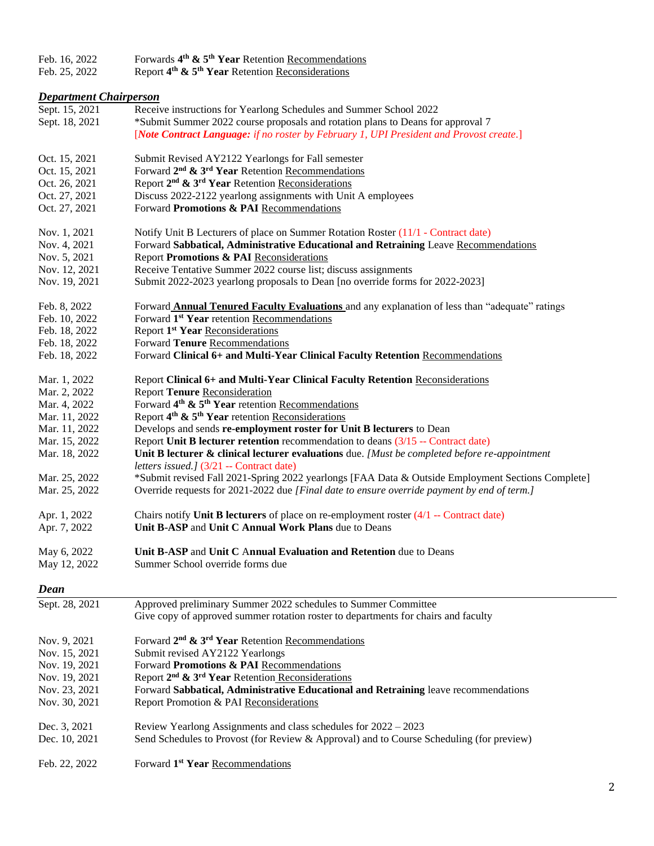| Feb. 16, 2022 | Forwards $4th$ & $5th$ Year Retention Recommendations |  |
|---------------|-------------------------------------------------------|--|
|               |                                                       |  |

Feb. 25, 2022 Report **4 th & 5th Year** Retention Reconsiderations

#### *Department Chairperson*

| Sept. 15, 2021<br>Sept. 18, 2021 | Receive instructions for Yearlong Schedules and Summer School 2022<br>*Submit Summer 2022 course proposals and rotation plans to Deans for approval 7<br>[Note Contract Language: if no roster by February 1, UPI President and Provost create.] |
|----------------------------------|--------------------------------------------------------------------------------------------------------------------------------------------------------------------------------------------------------------------------------------------------|
| Oct. 15, 2021                    | Submit Revised AY2122 Yearlongs for Fall semester                                                                                                                                                                                                |
| Oct. 15, 2021                    | Forward 2 <sup>nd</sup> & 3 <sup>rd</sup> Year Retention Recommendations                                                                                                                                                                         |
| Oct. 26, 2021                    | Report 2 <sup>nd</sup> & 3 <sup>rd</sup> Year Retention Reconsiderations                                                                                                                                                                         |
| Oct. 27, 2021                    | Discuss 2022-2122 yearlong assignments with Unit A employees                                                                                                                                                                                     |
| Oct. 27, 2021                    | Forward Promotions & PAI Recommendations                                                                                                                                                                                                         |
| Nov. 1, 2021                     | Notify Unit B Lecturers of place on Summer Rotation Roster (11/1 - Contract date)                                                                                                                                                                |
| Nov. 4, 2021                     | Forward Sabbatical, Administrative Educational and Retraining Leave Recommendations                                                                                                                                                              |
| Nov. 5, 2021                     | Report Promotions & PAI Reconsiderations                                                                                                                                                                                                         |
| Nov. 12, 2021                    | Receive Tentative Summer 2022 course list; discuss assignments                                                                                                                                                                                   |
| Nov. 19, 2021                    | Submit 2022-2023 yearlong proposals to Dean [no override forms for 2022-2023]                                                                                                                                                                    |
| Feb. 8, 2022                     | Forward <b>Annual Tenured Faculty Evaluations</b> and any explanation of less than "adequate" ratings                                                                                                                                            |
| Feb. 10, 2022                    | Forward 1 <sup>st</sup> Year retention Recommendations                                                                                                                                                                                           |
| Feb. 18, 2022                    | Report 1 <sup>st</sup> Year Reconsiderations                                                                                                                                                                                                     |
| Feb. 18, 2022                    | Forward Tenure Recommendations                                                                                                                                                                                                                   |
| Feb. 18, 2022                    | Forward Clinical 6+ and Multi-Year Clinical Faculty Retention Recommendations                                                                                                                                                                    |
| Mar. 1, 2022                     | Report Clinical 6+ and Multi-Year Clinical Faculty Retention Reconsiderations                                                                                                                                                                    |
| Mar. 2, 2022                     | <b>Report Tenure Reconsideration</b>                                                                                                                                                                                                             |
| Mar. 4, 2022                     | Forward 4 <sup>th</sup> & 5 <sup>th</sup> Year retention Recommendations                                                                                                                                                                         |
| Mar. 11, 2022                    | Report 4 <sup>th</sup> & 5 <sup>th</sup> Year retention Reconsiderations                                                                                                                                                                         |
| Mar. 11, 2022                    | Develops and sends re-employment roster for Unit B lecturers to Dean                                                                                                                                                                             |
| Mar. 15, 2022                    | Report Unit B lecturer retention recommendation to deans $(3/15 -$ Contract date)                                                                                                                                                                |
| Mar. 18, 2022                    | Unit B lecturer & clinical lecturer evaluations due. [Must be completed before re-appointment                                                                                                                                                    |
|                                  | letters issued.] (3/21 -- Contract date)                                                                                                                                                                                                         |
| Mar. 25, 2022                    | *Submit revised Fall 2021-Spring 2022 yearlongs [FAA Data & Outside Employment Sections Complete]                                                                                                                                                |
| Mar. 25, 2022                    | Override requests for 2021-2022 due [Final date to ensure override payment by end of term.]                                                                                                                                                      |
|                                  |                                                                                                                                                                                                                                                  |
| Apr. 1, 2022                     | Chairs notify Unit B lecturers of place on re-employment roster $(4/1 -$ Contract date)                                                                                                                                                          |
| Apr. 7, 2022                     | Unit B-ASP and Unit C Annual Work Plans due to Deans                                                                                                                                                                                             |
| May 6, 2022                      | Unit B-ASP and Unit C Annual Evaluation and Retention due to Deans                                                                                                                                                                               |
| May 12, 2022                     | Summer School override forms due                                                                                                                                                                                                                 |
| Dean                             |                                                                                                                                                                                                                                                  |
| Sept. 28, 2021                   | Approved preliminary Summer 2022 schedules to Summer Committee                                                                                                                                                                                   |
|                                  | Give copy of approved summer rotation roster to departments for chairs and faculty                                                                                                                                                               |
| Nov. 9, 2021                     | Forward 2 <sup>nd</sup> & 3 <sup>rd</sup> Year Retention Recommendations                                                                                                                                                                         |
| Nov. 15, 2021                    | Submit revised AY2122 Yearlongs                                                                                                                                                                                                                  |
| Nov. 19, 2021                    | Forward Promotions & PAI Recommendations                                                                                                                                                                                                         |
| Nov. 19, 2021                    | Report 2 <sup>nd</sup> & 3 <sup>rd</sup> Year Retention Reconsiderations                                                                                                                                                                         |
| Nov. 23, 2021                    | Forward Sabbatical, Administrative Educational and Retraining leave recommendations                                                                                                                                                              |
| Nov. 30, 2021                    | Report Promotion & PAI Reconsiderations                                                                                                                                                                                                          |
| Dec. 3, 2021                     | Review Yearlong Assignments and class schedules for 2022 - 2023                                                                                                                                                                                  |
| Dec. 10, 2021                    | Send Schedules to Provost (for Review & Approval) and to Course Scheduling (for preview)                                                                                                                                                         |
|                                  |                                                                                                                                                                                                                                                  |
| Feb. 22, 2022                    | Forward 1 <sup>st</sup> Year Recommendations                                                                                                                                                                                                     |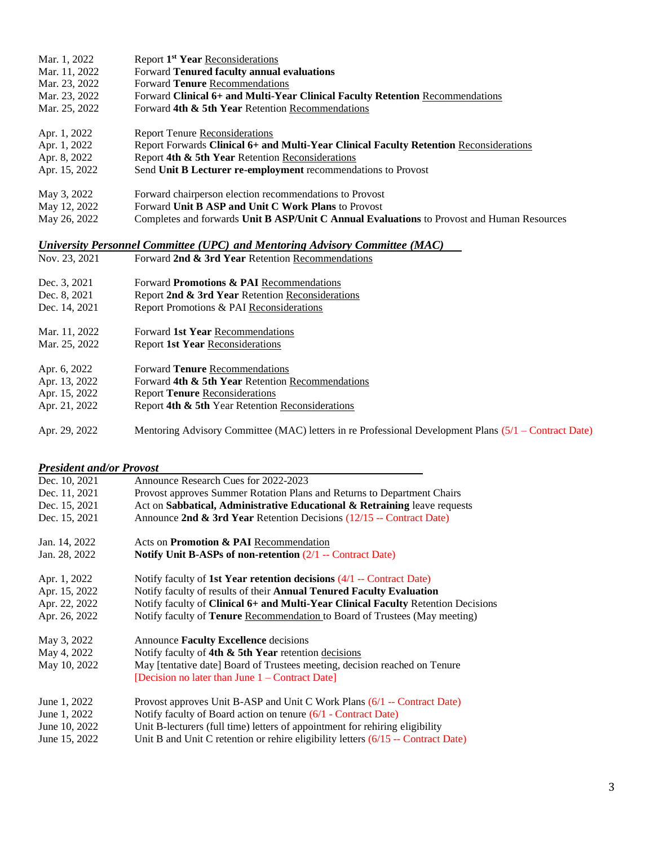| Mar. 1, 2022  | Report 1 <sup>st</sup> Year Reconsiderations                                               |
|---------------|--------------------------------------------------------------------------------------------|
| Mar. 11, 2022 | Forward Tenured faculty annual evaluations                                                 |
| Mar. 23, 2022 | Forward <b>Tenure</b> Recommendations                                                      |
| Mar. 23, 2022 | Forward Clinical 6+ and Multi-Year Clinical Faculty Retention Recommendations              |
| Mar. 25, 2022 | Forward 4th & 5th Year Retention Recommendations                                           |
| Apr. 1, 2022  | <b>Report Tenure Reconsiderations</b>                                                      |
| Apr. 1, 2022  | Report Forwards Clinical 6+ and Multi-Year Clinical Faculty Retention Reconsiderations     |
| Apr. 8, 2022  | Report 4th & 5th Year Retention Reconsiderations                                           |
| Apr. 15, 2022 | Send Unit B Lecturer re-employment recommendations to Provost                              |
| May 3, 2022   | Forward chairperson election recommendations to Provost                                    |
| May 12, 2022  | Forward Unit B ASP and Unit C Work Plans to Provost                                        |
| May 26, 2022  | Completes and forwards Unit B ASP/Unit C Annual Evaluations to Provost and Human Resources |
|               |                                                                                            |

# *University Personnel Committee (UPC) and Mentoring Advisory Committee (MAC)*

| Nov. 23, 2021 | Forward 2nd & 3rd Year Retention Recommendations                                                      |
|---------------|-------------------------------------------------------------------------------------------------------|
| Dec. 3, 2021  | Forward <b>Promotions &amp; PAI</b> Recommendations                                                   |
| Dec. 8, 2021  | Report 2nd & 3rd Year Retention Reconsiderations                                                      |
| Dec. 14, 2021 | Report Promotions & PAI Reconsiderations                                                              |
| Mar. 11, 2022 | Forward 1st Year Recommendations                                                                      |
| Mar. 25, 2022 | <b>Report 1st Year Reconsiderations</b>                                                               |
| Apr. 6, 2022  | Forward <b>Tenure</b> Recommendations                                                                 |
| Apr. 13, 2022 | Forward 4th & 5th Year Retention Recommendations                                                      |
| Apr. 15, 2022 | <b>Report Tenure Reconsiderations</b>                                                                 |
| Apr. 21, 2022 | Report 4th & 5th Year Retention Reconsiderations                                                      |
| Apr. 29, 2022 | Mentoring Advisory Committee (MAC) letters in re Professional Development Plans (5/1 – Contract Date) |

#### *President and/or Provost*

| Dec. 10, 2021 | Announce Research Cues for 2022-2023                                                     |
|---------------|------------------------------------------------------------------------------------------|
| Dec. 11, 2021 | Provost approves Summer Rotation Plans and Returns to Department Chairs                  |
| Dec. 15, 2021 | Act on Sabbatical, Administrative Educational & Retraining leave requests                |
| Dec. 15, 2021 | Announce 2nd & 3rd Year Retention Decisions $(12/15 -$ Contract Date)                    |
| Jan. 14, 2022 | Acts on Promotion & PAI Recommendation                                                   |
| Jan. 28, 2022 | Notify Unit B-ASPs of non-retention $(2/1 -$ Contract Date)                              |
| Apr. 1, 2022  | Notify faculty of 1st Year retention decisions $(4/1 -$ Contract Date)                   |
| Apr. 15, 2022 | Notify faculty of results of their Annual Tenured Faculty Evaluation                     |
| Apr. 22, 2022 | Notify faculty of <b>Clinical 6+ and Multi-Year Clinical Faculty</b> Retention Decisions |
| Apr. 26, 2022 | Notify faculty of Tenure Recommendation to Board of Trustees (May meeting)               |
| May 3, 2022   | Announce Faculty Excellence decisions                                                    |
| May 4, 2022   | Notify faculty of 4th $\&$ 5th Year retention decisions                                  |
| May 10, 2022  | May [tentative date] Board of Trustees meeting, decision reached on Tenure               |
|               | [Decision no later than June $1 -$ Contract Date]                                        |
| June 1, 2022  | Provost approves Unit B-ASP and Unit C Work Plans (6/1 -- Contract Date)                 |
| June 1, 2022  | Notify faculty of Board action on tenure (6/1 - Contract Date)                           |
| June 10, 2022 | Unit B-lecturers (full time) letters of appointment for rehiring eligibility             |
| June 15, 2022 | Unit B and Unit C retention or rehire eligibility letters $(6/15 -$ Contract Date)       |
|               |                                                                                          |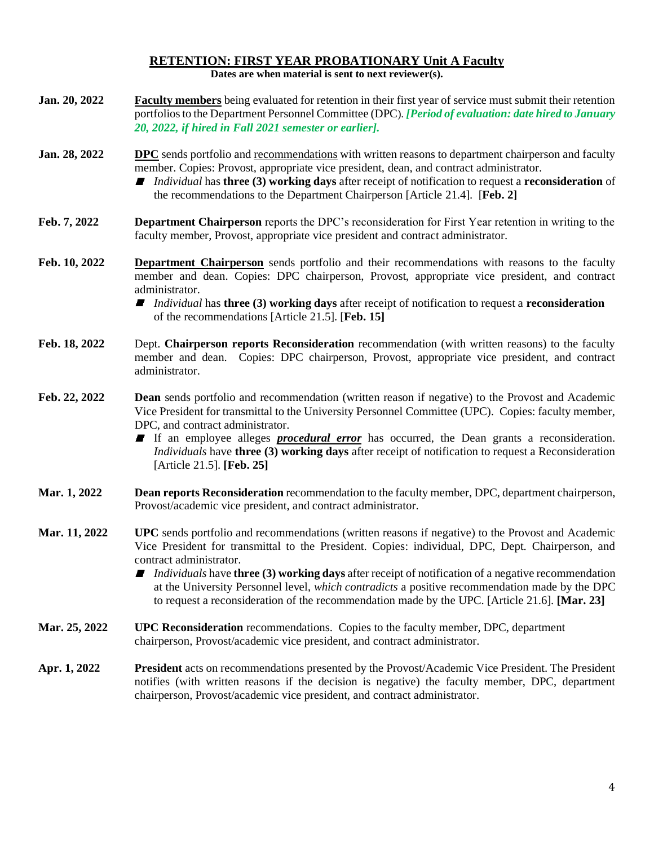#### **RETENTION: FIRST YEAR PROBATIONARY Unit A Faculty Dates are when material is sent to next reviewer(s).**

| Jan. 20, 2022 | <b>Faculty members</b> being evaluated for retention in their first year of service must submit their retention<br>portfolios to the Department Personnel Committee (DPC). [Period of evaluation: date hired to January<br>20, 2022, if hired in Fall 2021 semester or earlier].                                                                                                                                                                                                                                                                 |
|---------------|--------------------------------------------------------------------------------------------------------------------------------------------------------------------------------------------------------------------------------------------------------------------------------------------------------------------------------------------------------------------------------------------------------------------------------------------------------------------------------------------------------------------------------------------------|
| Jan. 28, 2022 | <b>DPC</b> sends portfolio and recommendations with written reasons to department chairperson and faculty<br>member. Copies: Provost, appropriate vice president, dean, and contract administrator.<br><i>Individual</i> has <b>three (3) working days</b> after receipt of notification to request a <b>reconsideration</b> of<br>the recommendations to the Department Chairperson [Article 21.4]. [Feb. 2]                                                                                                                                    |
| Feb. 7, 2022  | <b>Department Chairperson</b> reports the DPC's reconsideration for First Year retention in writing to the<br>faculty member, Provost, appropriate vice president and contract administrator.                                                                                                                                                                                                                                                                                                                                                    |
| Feb. 10, 2022 | <b>Department Chairperson</b> sends portfolio and their recommendations with reasons to the faculty<br>member and dean. Copies: DPC chairperson, Provost, appropriate vice president, and contract<br>administrator.                                                                                                                                                                                                                                                                                                                             |
|               | <i>Individual</i> has <b>three</b> (3) working days after receipt of notification to request a <b>reconsideration</b><br>of the recommendations [Article 21.5]. [Feb. 15]                                                                                                                                                                                                                                                                                                                                                                        |
| Feb. 18, 2022 | Dept. Chairperson reports Reconsideration recommendation (with written reasons) to the faculty<br>member and dean. Copies: DPC chairperson, Provost, appropriate vice president, and contract<br>administrator.                                                                                                                                                                                                                                                                                                                                  |
| Feb. 22, 2022 | <b>Dean</b> sends portfolio and recommendation (written reason if negative) to the Provost and Academic<br>Vice President for transmittal to the University Personnel Committee (UPC). Copies: faculty member,<br>DPC, and contract administrator.<br>If an employee alleges <i>procedural error</i> has occurred, the Dean grants a reconsideration.<br><i>Individuals</i> have three (3) working days after receipt of notification to request a Reconsideration<br>[Article 21.5]. [Feb. 25]                                                  |
| Mar. 1, 2022  | Dean reports Reconsideration recommendation to the faculty member, DPC, department chairperson,<br>Provost/academic vice president, and contract administrator.                                                                                                                                                                                                                                                                                                                                                                                  |
| Mar. 11, 2022 | UPC sends portfolio and recommendations (written reasons if negative) to the Provost and Academic<br>Vice President for transmittal to the President. Copies: individual, DPC, Dept. Chairperson, and<br>contract administrator.<br><i>Individuals</i> have three (3) working days after receipt of notification of a negative recommendation<br>at the University Personnel level, which contradicts a positive recommendation made by the DPC<br>to request a reconsideration of the recommendation made by the UPC. [Article 21.6]. [Mar. 23] |
| Mar. 25, 2022 | <b>UPC Reconsideration</b> recommendations. Copies to the faculty member, DPC, department<br>chairperson, Provost/academic vice president, and contract administrator.                                                                                                                                                                                                                                                                                                                                                                           |
| Apr. 1, 2022  | <b>President</b> acts on recommendations presented by the Provost/Academic Vice President. The President<br>notifies (with written reasons if the decision is negative) the faculty member, DPC, department<br>chairperson, Provost/academic vice president, and contract administrator.                                                                                                                                                                                                                                                         |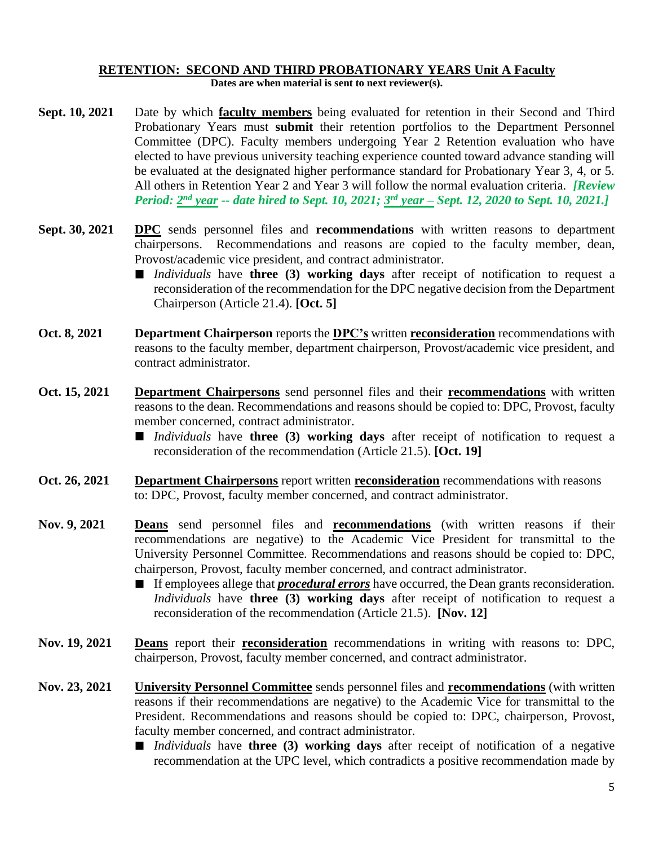# **RETENTION: SECOND AND THIRD PROBATIONARY YEARS Unit A Faculty**

**Dates are when material is sent to next reviewer(s).**

- **Sept. 10, 2021** Date by which **faculty members** being evaluated for retention in their Second and Third Probationary Years must **submit** their retention portfolios to the Department Personnel Committee (DPC). Faculty members undergoing Year 2 Retention evaluation who have elected to have previous university teaching experience counted toward advance standing will be evaluated at the designated higher performance standard for Probationary Year 3, 4, or 5. All others in Retention Year 2 and Year 3 will follow the normal evaluation criteria. *[Review Period: 2 nd year -- date hired to Sept. 10, 2021; 3 rd year – Sept. 12, 2020 to Sept. 10, 2021.]*
- **Sept. 30, 2021 DPC** sends personnel files and **recommendations** with written reasons to department chairpersons. Recommendations and reasons are copied to the faculty member, dean, Provost/academic vice president, and contract administrator.
	- *Individuals* have **three** (3) working days after receipt of notification to request a reconsideration of the recommendation for the DPC negative decision from the Department Chairperson (Article 21.4). **[Oct. 5]**
- **Oct. 8, 2021 Department Chairperson** reports the **DPC's** written **reconsideration** recommendations with reasons to the faculty member, department chairperson, Provost/academic vice president, and contract administrator.
- **Oct. 15, 2021 Department Chairpersons** send personnel files and their **recommendations** with written reasons to the dean. Recommendations and reasons should be copied to: DPC, Provost, faculty member concerned, contract administrator.
	- *Individuals* have **three** (3) working days after receipt of notification to request a reconsideration of the recommendation (Article 21.5). **[Oct. 19]**
- **Oct. 26, 2021 Department Chairpersons** report written **reconsideration** recommendations with reasons to: DPC, Provost, faculty member concerned, and contract administrator.
- **Nov. 9, 2021 Deans** send personnel files and **recommendations** (with written reasons if their recommendations are negative) to the Academic Vice President for transmittal to the University Personnel Committee. Recommendations and reasons should be copied to: DPC, chairperson, Provost, faculty member concerned, and contract administrator.
	- If employees allege that *procedural errors* have occurred, the Dean grants reconsideration. *Individuals* have **three (3) working days** after receipt of notification to request a reconsideration of the recommendation (Article 21.5). **[Nov. 12]**
- **Nov. 19, 2021 Deans** report their **reconsideration** recommendations in writing with reasons to: DPC, chairperson, Provost, faculty member concerned, and contract administrator.
- **Nov. 23, 2021 University Personnel Committee** sends personnel files and **recommendations** (with written reasons if their recommendations are negative) to the Academic Vice for transmittal to the President. Recommendations and reasons should be copied to: DPC, chairperson, Provost, faculty member concerned, and contract administrator.
	- *Individuals* have **three (3) working days** after receipt of notification of a negative recommendation at the UPC level, which contradicts a positive recommendation made by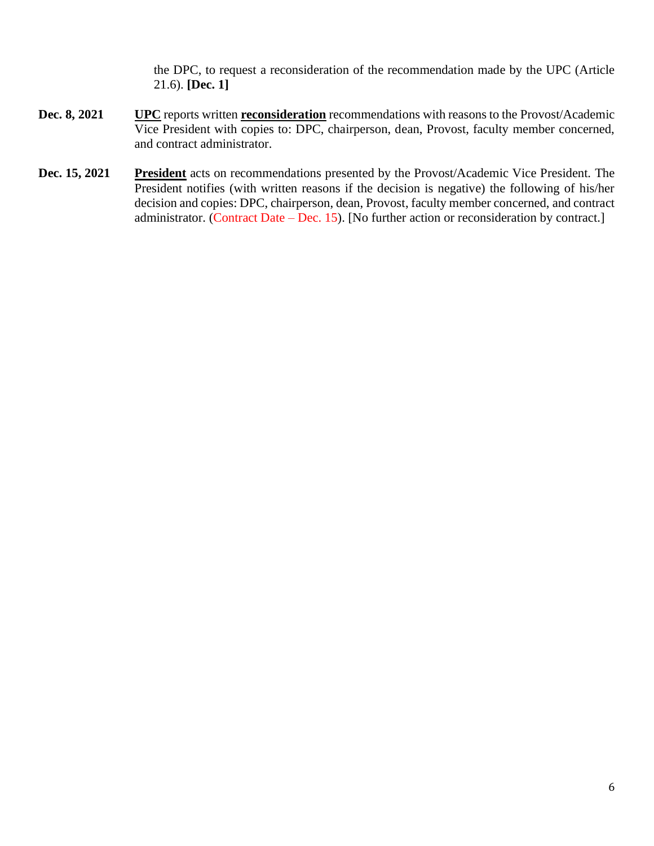the DPC, to request a reconsideration of the recommendation made by the UPC (Article 21.6). **[Dec. 1]**

- **Dec. 8, 2021 UPC** reports written **reconsideration** recommendations with reasons to the Provost/Academic Vice President with copies to: DPC, chairperson, dean, Provost, faculty member concerned, and contract administrator.
- **Dec. 15, 2021** President acts on recommendations presented by the Provost/Academic Vice President. The President notifies (with written reasons if the decision is negative) the following of his/her decision and copies: DPC, chairperson, dean, Provost, faculty member concerned, and contract administrator. (Contract Date – Dec. 15). [No further action or reconsideration by contract.]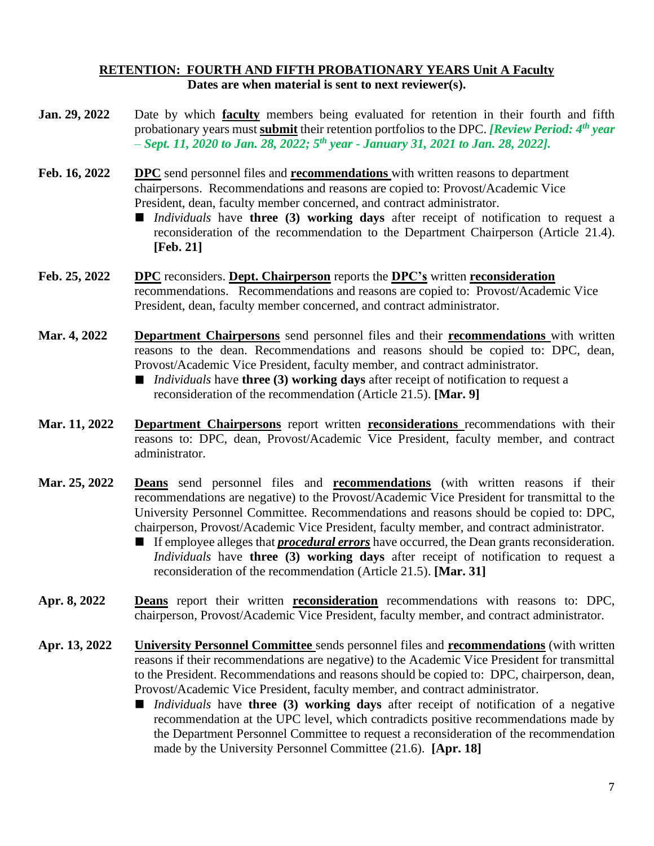#### **RETENTION: FOURTH AND FIFTH PROBATIONARY YEARS Unit A Faculty Dates are when material is sent to next reviewer(s).**

- **Jan. 29, 2022** Date by which **faculty** members being evaluated for retention in their fourth and fifth probationary years must **submit** their retention portfolios to the DPC. *[Review Period: 4 th year – Sept. 11, 2020 to Jan. 28, 2022; 5th year - January 31, 2021 to Jan. 28, 2022].* **Feb. 16, 2022 DPC** send personnel files and **recommendations** with written reasons to department chairpersons. Recommendations and reasons are copied to: Provost/Academic Vice President, dean, faculty member concerned, and contract administrator. ■ *Individuals* have **three** (3) working days after receipt of notification to request a reconsideration of the recommendation to the Department Chairperson (Article 21.4). **[Feb. 21] Feb. 25, 2022 DPC** reconsiders. **Dept. Chairperson** reports the **DPC's** written **reconsideration** recommendations. Recommendations and reasons are copied to: Provost/Academic Vice President, dean, faculty member concerned, and contract administrator. **Mar. 4, 2022 Department Chairpersons** send personnel files and their **recommendations** with written reasons to the dean. Recommendations and reasons should be copied to: DPC, dean, Provost/Academic Vice President, faculty member, and contract administrator. ■ *Individuals* have **three (3) working days** after receipt of notification to request a reconsideration of the recommendation (Article 21.5). **[Mar. 9] Mar. 11, 2022 Department Chairpersons** report written **reconsiderations** recommendations with their reasons to: DPC, dean, Provost/Academic Vice President, faculty member, and contract administrator. **Mar. 25, 2022 Deans** send personnel files and **recommendations** (with written reasons if their recommendations are negative) to the Provost/Academic Vice President for transmittal to the University Personnel Committee. Recommendations and reasons should be copied to: DPC, chairperson, Provost/Academic Vice President, faculty member, and contract administrator. If employee alleges that *procedural errors* have occurred, the Dean grants reconsideration.
	- *Individuals* have **three (3) working days** after receipt of notification to request a reconsideration of the recommendation (Article 21.5). **[Mar. 31]**
- **Apr. 8, 2022 Deans** report their written **reconsideration** recommendations with reasons to: DPC, chairperson, Provost/Academic Vice President, faculty member, and contract administrator.
- **Apr. 13, 2022 University Personnel Committee** sends personnel files and **recommendations** (with written reasons if their recommendations are negative) to the Academic Vice President for transmittal to the President. Recommendations and reasons should be copied to: DPC, chairperson, dean, Provost/Academic Vice President, faculty member, and contract administrator.
	- *Individuals* have **three (3) working days** after receipt of notification of a negative recommendation at the UPC level, which contradicts positive recommendations made by the Department Personnel Committee to request a reconsideration of the recommendation made by the University Personnel Committee (21.6). **[Apr. 18]**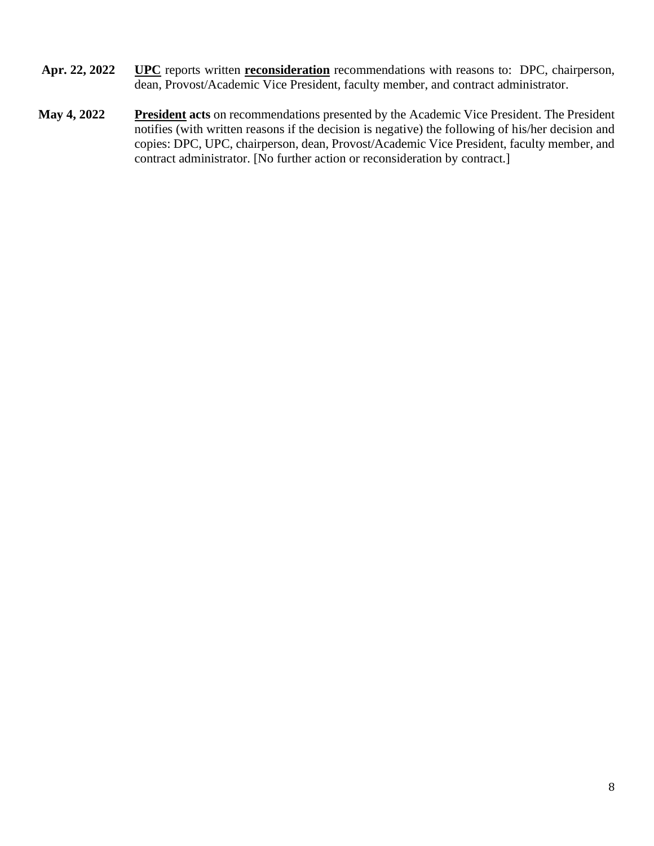- **Apr. 22, 2022 UPC** reports written **reconsideration** recommendations with reasons to: DPC, chairperson, dean, Provost/Academic Vice President, faculty member, and contract administrator.
- **May 4, 2022 President acts** on recommendations presented by the Academic Vice President. The President notifies (with written reasons if the decision is negative) the following of his/her decision and copies: DPC, UPC, chairperson, dean, Provost/Academic Vice President, faculty member, and contract administrator. [No further action or reconsideration by contract.]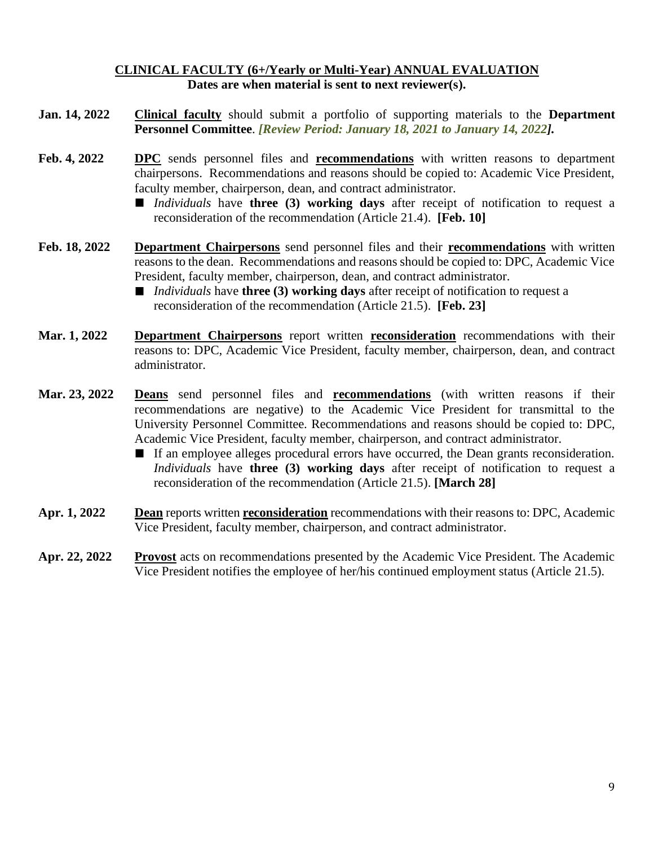#### **CLINICAL FACULTY (6+/Yearly or Multi-Year) ANNUAL EVALUATION Dates are when material is sent to next reviewer(s).**

- **Jan. 14, 2022 Clinical faculty** should submit a portfolio of supporting materials to the **Department Personnel Committee**. *[Review Period: January 18, 2021 to January 14, 2022].*
- **Feb. 4, 2022 DPC** sends personnel files and **recommendations** with written reasons to department chairpersons. Recommendations and reasons should be copied to: Academic Vice President, faculty member, chairperson, dean, and contract administrator.
	- *Individuals* have **three (3) working days** after receipt of notification to request a reconsideration of the recommendation (Article 21.4). **[Feb. 10]**
- **Feb. 18, 2022 Department Chairpersons** send personnel files and their **recommendations** with written reasons to the dean. Recommendations and reasons should be copied to: DPC, Academic Vice President, faculty member, chairperson, dean, and contract administrator.
	- *Individuals* have **three (3) working days** after receipt of notification to request a reconsideration of the recommendation (Article 21.5). **[Feb. 23]**
- **Mar. 1, 2022 Department Chairpersons** report written **reconsideration** recommendations with their reasons to: DPC, Academic Vice President, faculty member, chairperson, dean, and contract administrator.
- **Mar. 23, 2022 Deans** send personnel files and **recommendations** (with written reasons if their recommendations are negative) to the Academic Vice President for transmittal to the University Personnel Committee. Recommendations and reasons should be copied to: DPC, Academic Vice President, faculty member, chairperson, and contract administrator.
	- If an employee alleges procedural errors have occurred, the Dean grants reconsideration. *Individuals* have **three (3) working days** after receipt of notification to request a reconsideration of the recommendation (Article 21.5). **[March 28]**
- **Apr. 1, 2022 Dean** reports written **reconsideration** recommendations with their reasons to: DPC, Academic Vice President, faculty member, chairperson, and contract administrator.
- **Apr. 22, 2022 Provost** acts on recommendations presented by the Academic Vice President. The Academic Vice President notifies the employee of her/his continued employment status (Article 21.5).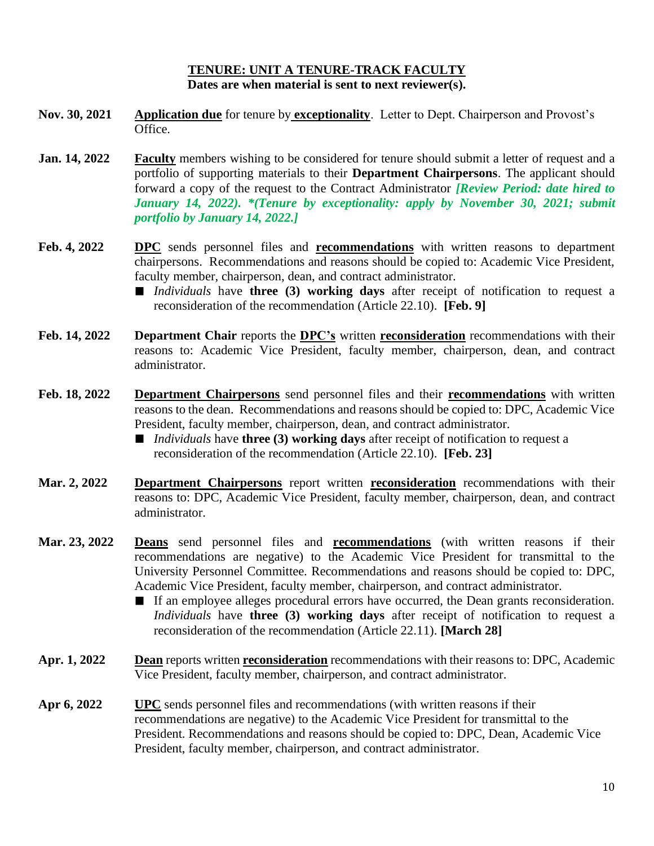#### **TENURE: UNIT A TENURE-TRACK FACULTY Dates are when material is sent to next reviewer(s).**

- **Nov. 30, 2021 Application due** for tenure by **exceptionality**. Letter to Dept. Chairperson and Provost's Office.
- **Jan. 14, 2022 Faculty** members wishing to be considered for tenure should submit a letter of request and a portfolio of supporting materials to their **Department Chairpersons**. The applicant should forward a copy of the request to the Contract Administrator *[Review Period: date hired to January 14, 2022). \*(Tenure by exceptionality: apply by November 30, 2021; submit portfolio by January 14, 2022.]*
- **Feb. 4, 2022 DPC** sends personnel files and **recommendations** with written reasons to department chairpersons. Recommendations and reasons should be copied to: Academic Vice President, faculty member, chairperson, dean, and contract administrator.
	- *Individuals* have **three (3) working days** after receipt of notification to request a reconsideration of the recommendation (Article 22.10). **[Feb. 9]**
- **Feb. 14, 2022 Department Chair** reports the **DPC's** written **reconsideration** recommendations with their reasons to: Academic Vice President, faculty member, chairperson, dean, and contract administrator.
- **Feb. 18, 2022 Department Chairpersons** send personnel files and their **recommendations** with written reasons to the dean. Recommendations and reasons should be copied to: DPC, Academic Vice President, faculty member, chairperson, dean, and contract administrator.
	- *Individuals* have **three (3) working days** after receipt of notification to request a reconsideration of the recommendation (Article 22.10). **[Feb. 23]**
- **Mar. 2, 2022 Department Chairpersons** report written **reconsideration** recommendations with their reasons to: DPC, Academic Vice President, faculty member, chairperson, dean, and contract administrator.
- **Mar. 23, 2022 Deans** send personnel files and **recommendations** (with written reasons if their recommendations are negative) to the Academic Vice President for transmittal to the University Personnel Committee. Recommendations and reasons should be copied to: DPC, Academic Vice President, faculty member, chairperson, and contract administrator.
	- If an employee alleges procedural errors have occurred, the Dean grants reconsideration. *Individuals* have **three (3) working days** after receipt of notification to request a reconsideration of the recommendation (Article 22.11). **[March 28]**
- **Apr. 1, 2022 Dean** reports written **reconsideration** recommendations with their reasons to: DPC, Academic Vice President, faculty member, chairperson, and contract administrator.
- **Apr 6, 2022 UPC** sends personnel files and recommendations (with written reasons if their recommendations are negative) to the Academic Vice President for transmittal to the President. Recommendations and reasons should be copied to: DPC, Dean, Academic Vice President, faculty member, chairperson, and contract administrator.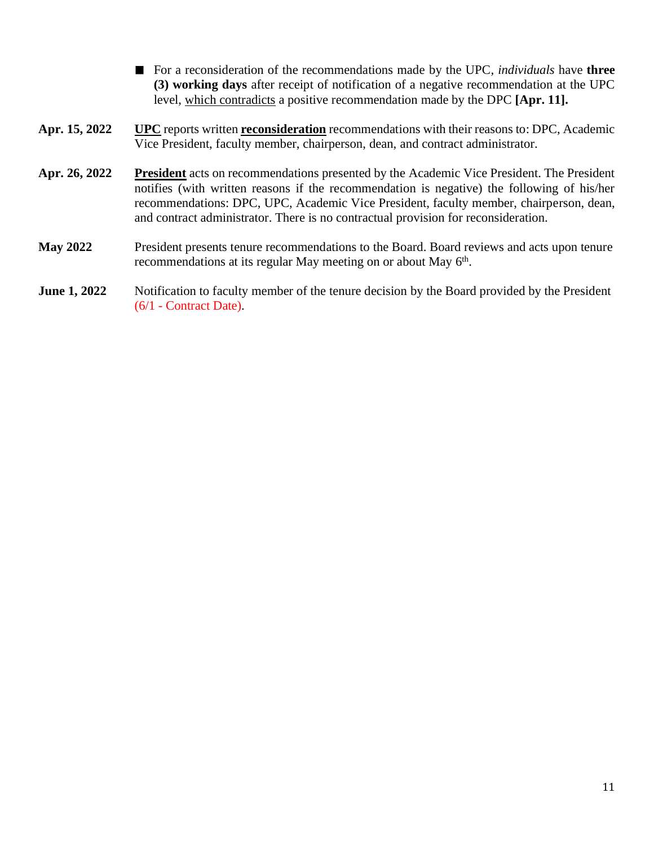- For a reconsideration of the recommendations made by the UPC, *individuals* have **three (3) working days** after receipt of notification of a negative recommendation at the UPC level, which contradicts a positive recommendation made by the DPC **[Apr. 11].**
- **Apr. 15, 2022 UPC** reports written **reconsideration** recommendations with their reasons to: DPC, Academic Vice President, faculty member, chairperson, dean, and contract administrator.
- **Apr. 26, 2022 President** acts on recommendations presented by the Academic Vice President. The President notifies (with written reasons if the recommendation is negative) the following of his/her recommendations: DPC, UPC, Academic Vice President, faculty member, chairperson, dean, and contract administrator. There is no contractual provision for reconsideration.
- **May 2022** President presents tenure recommendations to the Board. Board reviews and acts upon tenure recommendations at its regular May meeting on or about May 6<sup>th</sup>.
- **June 1, 2022** Notification to faculty member of the tenure decision by the Board provided by the President (6/1 - Contract Date).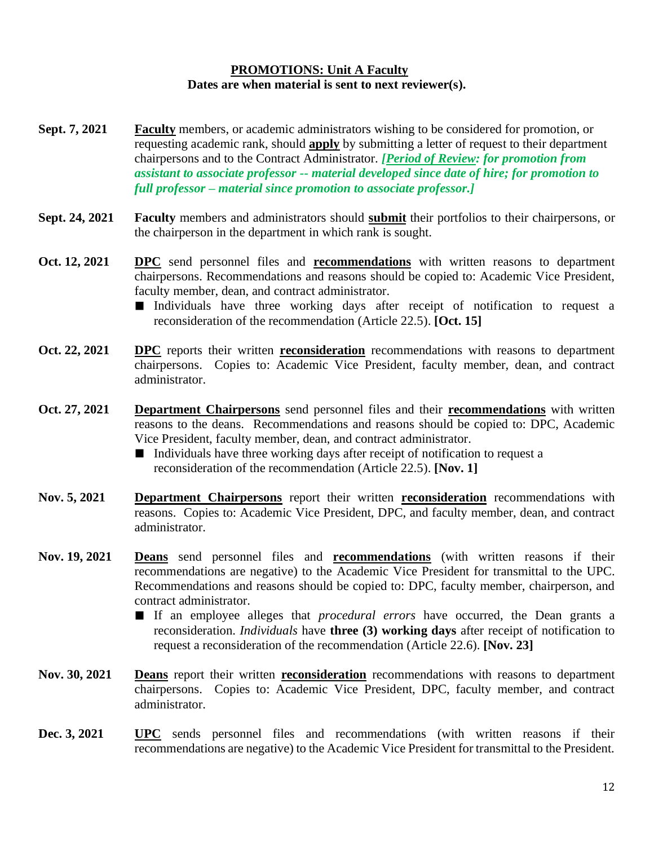#### **PROMOTIONS: Unit A Faculty Dates are when material is sent to next reviewer(s).**

- **Sept. 7, 2021 Faculty** members, or academic administrators wishing to be considered for promotion, or requesting academic rank, should **apply** by submitting a letter of request to their department chairpersons and to the Contract Administrator. *[Period of Review: for promotion from assistant to associate professor -- material developed since date of hire; for promotion to full professor – material since promotion to associate professor.]*
- **Sept. 24, 2021 Faculty** members and administrators should **submit** their portfolios to their chairpersons, or the chairperson in the department in which rank is sought.
- **Oct. 12, 2021 DPC** send personnel files and **recommendations** with written reasons to department chairpersons. Recommendations and reasons should be copied to: Academic Vice President, faculty member, dean, and contract administrator.
	- Individuals have three working days after receipt of notification to request a reconsideration of the recommendation (Article 22.5). **[Oct. 15]**
- **Oct. 22, 2021 DPC** reports their written **reconsideration** recommendations with reasons to department chairpersons. Copies to: Academic Vice President, faculty member, dean, and contract administrator.
- **Oct. 27, 2021 Department Chairpersons** send personnel files and their **recommendations** with written reasons to the deans. Recommendations and reasons should be copied to: DPC, Academic Vice President, faculty member, dean, and contract administrator.
	- Individuals have three working days after receipt of notification to request a reconsideration of the recommendation (Article 22.5). **[Nov. 1]**
- **Nov. 5, 2021 Department Chairpersons** report their written **reconsideration** recommendations with reasons. Copies to: Academic Vice President, DPC, and faculty member, dean, and contract administrator.
- **Nov. 19, 2021 Deans** send personnel files and **recommendations** (with written reasons if their recommendations are negative) to the Academic Vice President for transmittal to the UPC. Recommendations and reasons should be copied to: DPC, faculty member, chairperson, and contract administrator.
	- If an employee alleges that *procedural errors* have occurred, the Dean grants a reconsideration. *Individuals* have **three (3) working days** after receipt of notification to request a reconsideration of the recommendation (Article 22.6). **[Nov. 23]**
- **Nov. 30, 2021 Deans** report their written **reconsideration** recommendations with reasons to department chairpersons. Copies to: Academic Vice President, DPC, faculty member, and contract administrator.
- **Dec. 3, 2021 UPC** sends personnel files and recommendations (with written reasons if their recommendations are negative) to the Academic Vice President for transmittal to the President.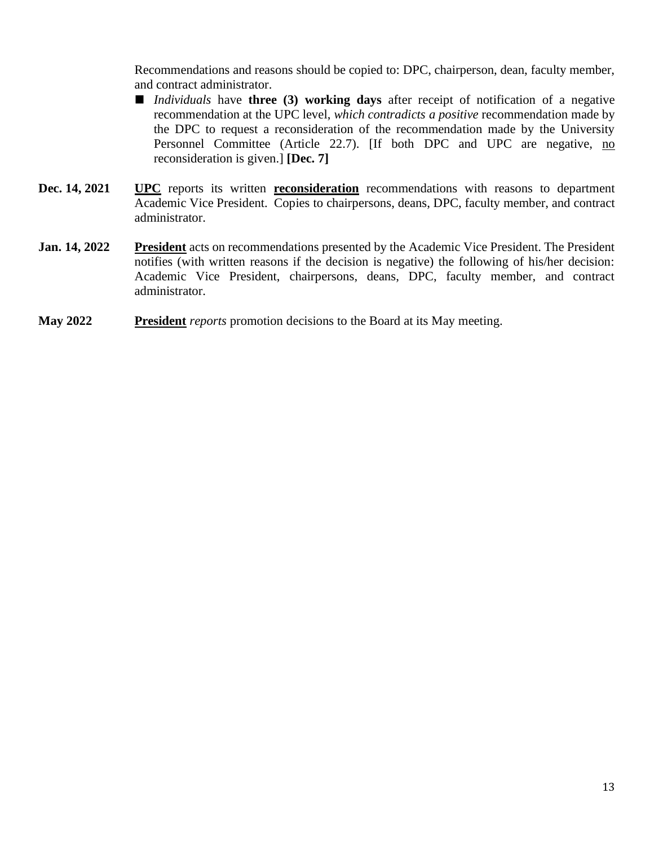Recommendations and reasons should be copied to: DPC, chairperson, dean, faculty member, and contract administrator.

- *Individuals* have **three** (3) working days after receipt of notification of a negative recommendation at the UPC level, *which contradicts a positive* recommendation made by the DPC to request a reconsideration of the recommendation made by the University Personnel Committee (Article 22.7). [If both DPC and UPC are negative, no reconsideration is given.] **[Dec. 7]**
- **Dec.** 14, 2021 **UPC** reports its written **reconsideration** recommendations with reasons to department Academic Vice President. Copies to chairpersons, deans, DPC, faculty member, and contract administrator.
- **Jan. 14, 2022 President** acts on recommendations presented by the Academic Vice President. The President notifies (with written reasons if the decision is negative) the following of his/her decision: Academic Vice President, chairpersons, deans, DPC, faculty member, and contract administrator.
- **May 2022 President** *reports* promotion decisions to the Board at its May meeting.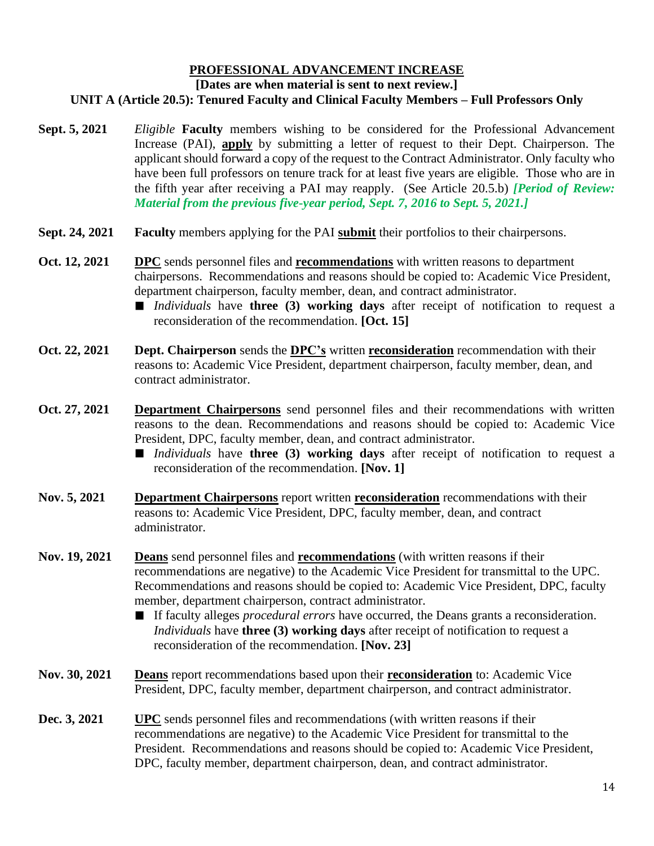## **PROFESSIONAL ADVANCEMENT INCREASE**

#### **[Dates are when material is sent to next review.]**

#### **UNIT A (Article 20.5): Tenured Faculty and Clinical Faculty Members – Full Professors Only**

- **Sept. 5, 2021** *Eligible* **Faculty** members wishing to be considered for the Professional Advancement Increase (PAI), **apply** by submitting a letter of request to their Dept. Chairperson. The applicant should forward a copy of the request to the Contract Administrator. Only faculty who have been full professors on tenure track for at least five years are eligible. Those who are in the fifth year after receiving a PAI may reapply. (See Article 20.5.b) *[Period of Review: Material from the previous five-year period, Sept. 7, 2016 to Sept. 5, 2021.]*
- **Sept. 24, 2021 Faculty** members applying for the PAI **submit** their portfolios to their chairpersons.
- **Oct. 12, 2021 DPC** sends personnel files and **recommendations** with written reasons to department chairpersons. Recommendations and reasons should be copied to: Academic Vice President, department chairperson, faculty member, dean, and contract administrator.
	- *Individuals* have **three** (3) working days after receipt of notification to request a reconsideration of the recommendation. **[Oct. 15]**
- **Oct. 22, 2021 Dept. Chairperson** sends the **DPC's** written **reconsideration** recommendation with their reasons to: Academic Vice President, department chairperson, faculty member, dean, and contract administrator.
- **Oct. 27, 2021 Department Chairpersons** send personnel files and their recommendations with written reasons to the dean. Recommendations and reasons should be copied to: Academic Vice President, DPC, faculty member, dean, and contract administrator.
	- *Individuals* have **three** (3) working days after receipt of notification to request a reconsideration of the recommendation. **[Nov. 1]**
- **Nov. 5, 2021 Department Chairpersons** report written **reconsideration** recommendations with their reasons to: Academic Vice President, DPC, faculty member, dean, and contract administrator.
- **Nov. 19, 2021 Deans** send personnel files and **recommendations** (with written reasons if their recommendations are negative) to the Academic Vice President for transmittal to the UPC. Recommendations and reasons should be copied to: Academic Vice President, DPC, faculty member, department chairperson, contract administrator.
	- If faculty alleges *procedural errors* have occurred, the Deans grants a reconsideration. *Individuals* have **three (3) working days** after receipt of notification to request a reconsideration of the recommendation. **[Nov. 23]**
- **Nov. 30, 2021 Deans** report recommendations based upon their **reconsideration** to: Academic Vice President, DPC, faculty member, department chairperson, and contract administrator.
- **Dec. 3, 2021 UPC** sends personnel files and recommendations (with written reasons if their recommendations are negative) to the Academic Vice President for transmittal to the President. Recommendations and reasons should be copied to: Academic Vice President, DPC, faculty member, department chairperson, dean, and contract administrator.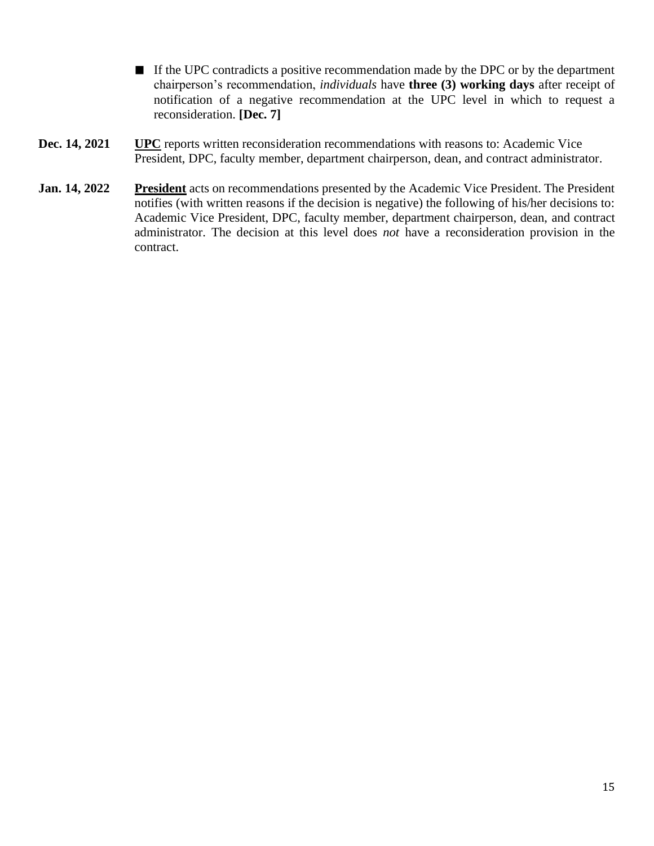- If the UPC contradicts a positive recommendation made by the DPC or by the department chairperson's recommendation, *individuals* have **three (3) working days** after receipt of notification of a negative recommendation at the UPC level in which to request a reconsideration. **[Dec. 7]**
- **Dec. 14, 2021 UPC** reports written reconsideration recommendations with reasons to: Academic Vice President, DPC, faculty member, department chairperson, dean, and contract administrator.
- **Jan. 14, 2022 President** acts on recommendations presented by the Academic Vice President. The President notifies (with written reasons if the decision is negative) the following of his/her decisions to: Academic Vice President, DPC, faculty member, department chairperson, dean, and contract administrator. The decision at this level does *not* have a reconsideration provision in the contract.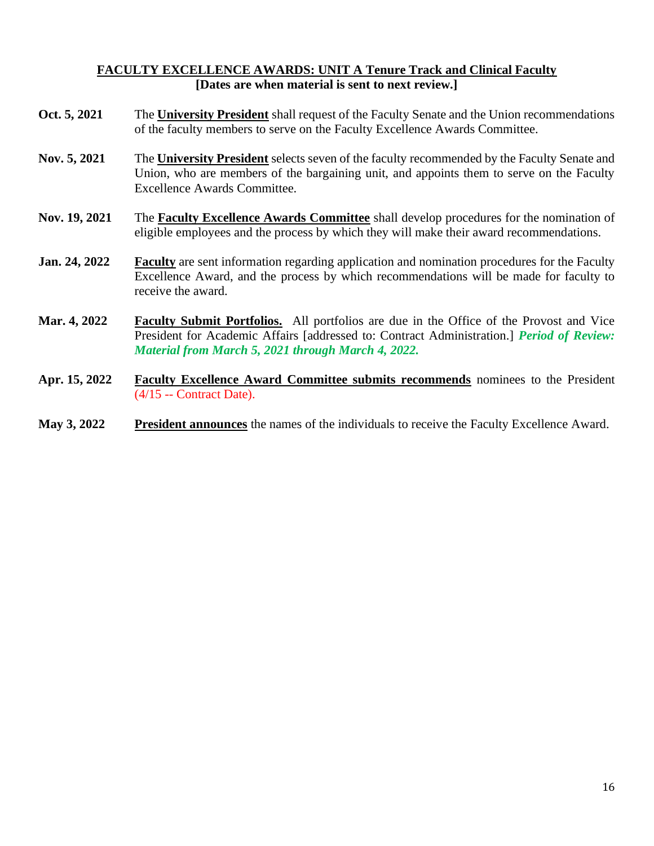# **FACULTY EXCELLENCE AWARDS: UNIT A Tenure Track and Clinical Faculty [Dates are when material is sent to next review.]**

- **Oct. 5, 2021** The **University President** shall request of the Faculty Senate and the Union recommendations of the faculty members to serve on the Faculty Excellence Awards Committee.
- **Nov. 5, 2021** The **University President** selects seven of the faculty recommended by the Faculty Senate and Union, who are members of the bargaining unit, and appoints them to serve on the Faculty Excellence Awards Committee.
- **Nov. 19, 2021** The **Faculty Excellence Awards Committee** shall develop procedures for the nomination of eligible employees and the process by which they will make their award recommendations.
- **Jan. 24, 2022 Faculty** are sent information regarding application and nomination procedures for the Faculty Excellence Award, and the process by which recommendations will be made for faculty to receive the award.
- **Mar. 4, 2022 Faculty Submit Portfolios.** All portfolios are due in the Office of the Provost and Vice President for Academic Affairs [addressed to: Contract Administration.] *Period of Review: Material from March 5, 2021 through March 4, 2022.*
- **Apr. 15, 2022 Faculty Excellence Award Committee submits recommends** nominees to the President (4/15 -- Contract Date).
- **May 3, 2022 President announces** the names of the individuals to receive the Faculty Excellence Award.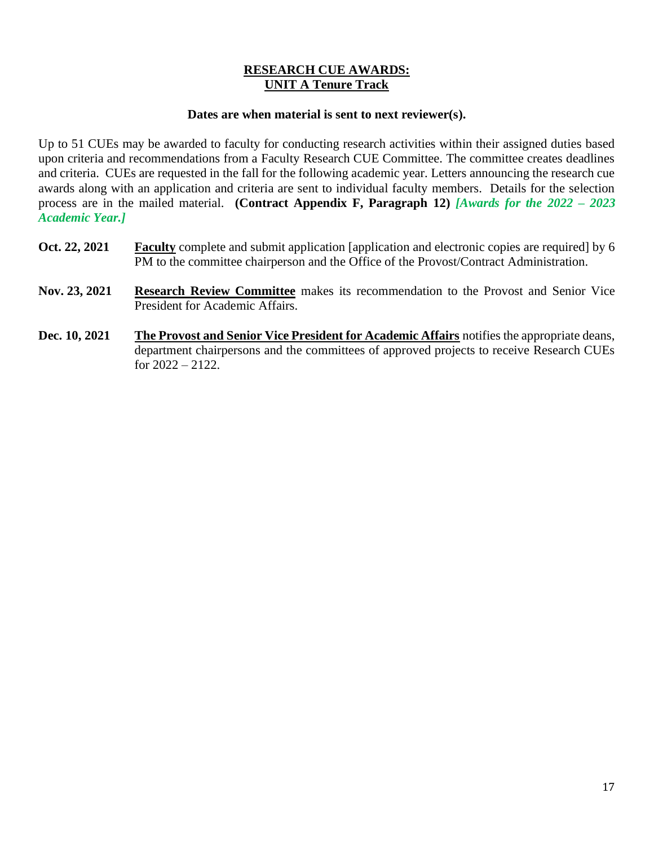# **RESEARCH CUE AWARDS: UNIT A Tenure Track**

#### **Dates are when material is sent to next reviewer(s).**

Up to 51 CUEs may be awarded to faculty for conducting research activities within their assigned duties based upon criteria and recommendations from a Faculty Research CUE Committee. The committee creates deadlines and criteria. CUEs are requested in the fall for the following academic year. Letters announcing the research cue awards along with an application and criteria are sent to individual faculty members. Details for the selection process are in the mailed material. **(Contract Appendix F, Paragraph 12)** *[Awards for the 2022 – 2023 Academic Year.]*

- **Oct. 22, 2021 Faculty** complete and submit application [application and electronic copies are required] by 6 PM to the committee chairperson and the Office of the Provost/Contract Administration.
- **Nov. 23, 2021 Research Review Committee** makes its recommendation to the Provost and Senior Vice President for Academic Affairs.
- **Dec. 10, 2021 The Provost and Senior Vice President for Academic Affairs** notifies the appropriate deans, department chairpersons and the committees of approved projects to receive Research CUEs for 2022 – 2122.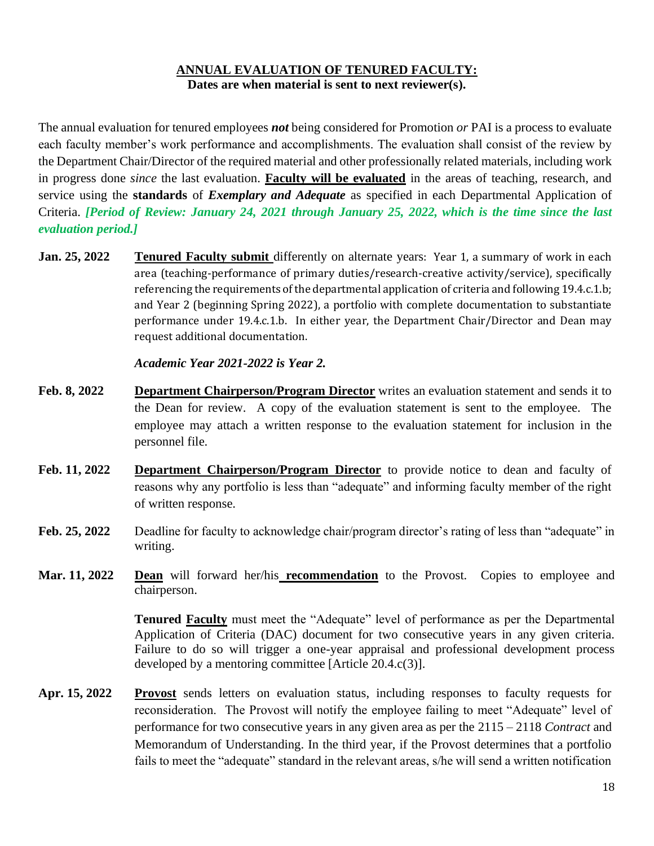## **ANNUAL EVALUATION OF TENURED FACULTY: Dates are when material is sent to next reviewer(s).**

The annual evaluation for tenured employees *not* being considered for Promotion *or* PAI is a process to evaluate each faculty member's work performance and accomplishments. The evaluation shall consist of the review by the Department Chair/Director of the required material and other professionally related materials, including work in progress done *since* the last evaluation. **Faculty will be evaluated** in the areas of teaching, research, and service using the **standards** of *Exemplary and Adequate* as specified in each Departmental Application of Criteria. *[Period of Review: January 24, 2021 through January 25, 2022, which is the time since the last evaluation period.]*

**Jan. 25, 2022 Tenured Faculty submit** differently on alternate years: Year 1, a summary of work in each area (teaching-performance of primary duties/research-creative activity/service), specifically referencing the requirements of the departmental application of criteria and following 19.4.c.1.b; and Year 2 (beginning Spring 2022), a portfolio with complete documentation to substantiate performance under 19.4.c.1.b. In either year, the Department Chair/Director and Dean may request additional documentation.

#### *Academic Year 2021-2022 is Year 2.*

- **Feb. 8, 2022 Department Chairperson/Program Director** writes an evaluation statement and sends it to the Dean for review. A copy of the evaluation statement is sent to the employee. The employee may attach a written response to the evaluation statement for inclusion in the personnel file.
- **Feb. 11, 2022 Department Chairperson/Program Director** to provide notice to dean and faculty of reasons why any portfolio is less than "adequate" and informing faculty member of the right of written response.
- **Feb. 25, 2022** Deadline for faculty to acknowledge chair/program director's rating of less than "adequate" in writing.
- **Mar. 11, 2022 Dean** will forward her/his **recommendation** to the Provost. Copies to employee and chairperson.

**Tenured Faculty** must meet the "Adequate" level of performance as per the Departmental Application of Criteria (DAC) document for two consecutive years in any given criteria. Failure to do so will trigger a one-year appraisal and professional development process developed by a mentoring committee [Article 20.4.c(3)].

**Apr. 15, 2022 Provost** sends letters on evaluation status, including responses to faculty requests for reconsideration. The Provost will notify the employee failing to meet "Adequate" level of performance for two consecutive years in any given area as per the 2115 – 2118 *Contract* and Memorandum of Understanding. In the third year, if the Provost determines that a portfolio fails to meet the "adequate" standard in the relevant areas, s/he will send a written notification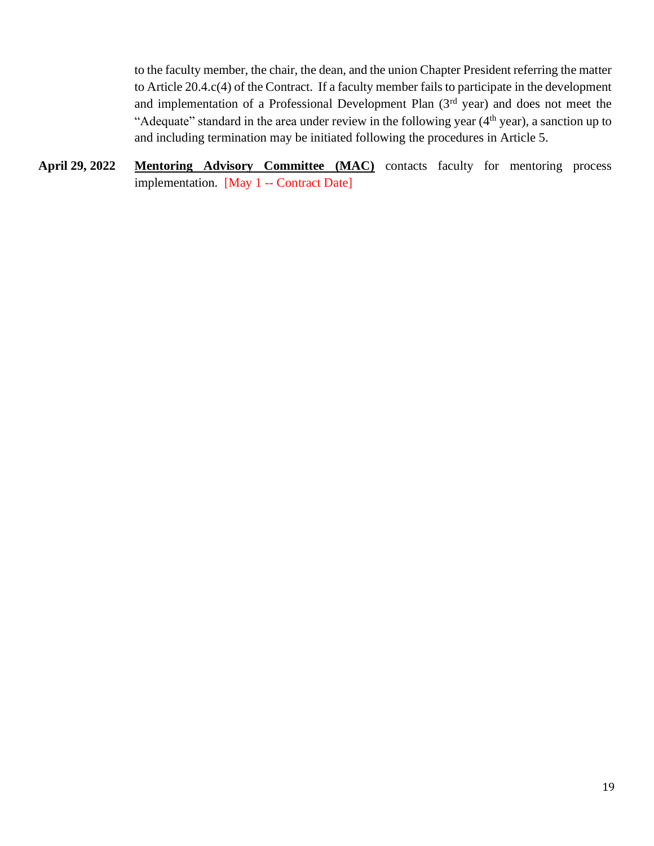to the faculty member, the chair, the dean, and the union Chapter President referring the matter to Article 20.4.c(4) of the Contract. If a faculty member fails to participate in the development and implementation of a Professional Development Plan (3rd year) and does not meet the "Adequate" standard in the area under review in the following year  $(4<sup>th</sup>$  year), a sanction up to and including termination may be initiated following the procedures in Article 5.

**April 29, 2022 Mentoring Advisory Committee (MAC)** contacts faculty for mentoring process implementation. [May 1 -- Contract Date]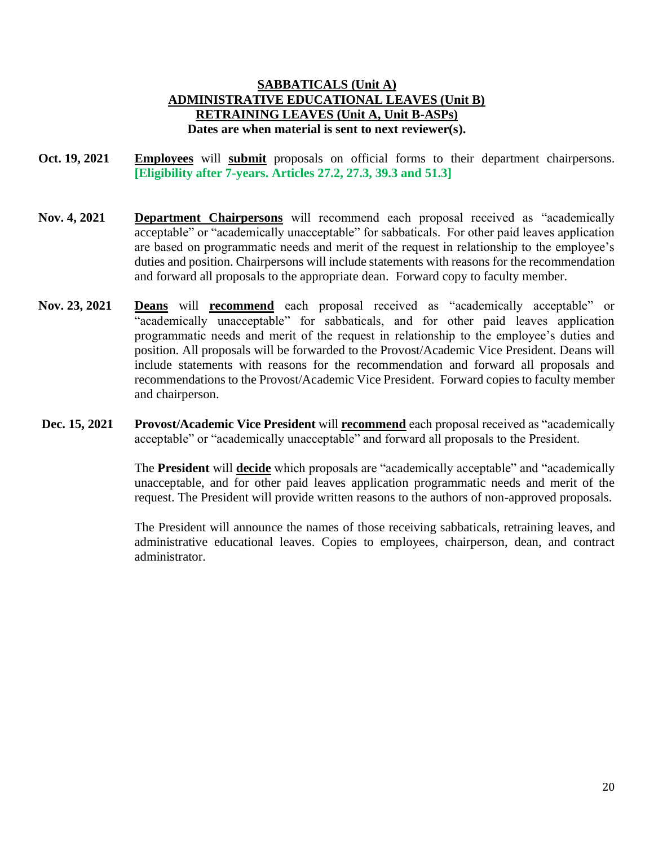### **SABBATICALS (Unit A) ADMINISTRATIVE EDUCATIONAL LEAVES (Unit B) RETRAINING LEAVES (Unit A, Unit B-ASPs) Dates are when material is sent to next reviewer(s).**

- **Oct. 19, 2021 Employees** will **submit** proposals on official forms to their department chairpersons. **[Eligibility after 7-years. Articles 27.2, 27.3, 39.3 and 51.3]**
- **Nov. 4, 2021 Department Chairpersons** will recommend each proposal received as "academically acceptable" or "academically unacceptable" for sabbaticals. For other paid leaves application are based on programmatic needs and merit of the request in relationship to the employee's duties and position. Chairpersons will include statements with reasons for the recommendation and forward all proposals to the appropriate dean. Forward copy to faculty member.
- **Nov. 23, 2021 Deans** will **recommend** each proposal received as "academically acceptable" or "academically unacceptable" for sabbaticals, and for other paid leaves application programmatic needs and merit of the request in relationship to the employee's duties and position. All proposals will be forwarded to the Provost/Academic Vice President. Deans will include statements with reasons for the recommendation and forward all proposals and recommendations to the Provost/Academic Vice President. Forward copies to faculty member and chairperson.
- **Dec. 15, 2021 Provost/Academic Vice President** will **recommend** each proposal received as "academically acceptable" or "academically unacceptable" and forward all proposals to the President.

The **President** will **decide** which proposals are "academically acceptable" and "academically unacceptable, and for other paid leaves application programmatic needs and merit of the request. The President will provide written reasons to the authors of non-approved proposals.

The President will announce the names of those receiving sabbaticals, retraining leaves, and administrative educational leaves. Copies to employees, chairperson, dean, and contract administrator.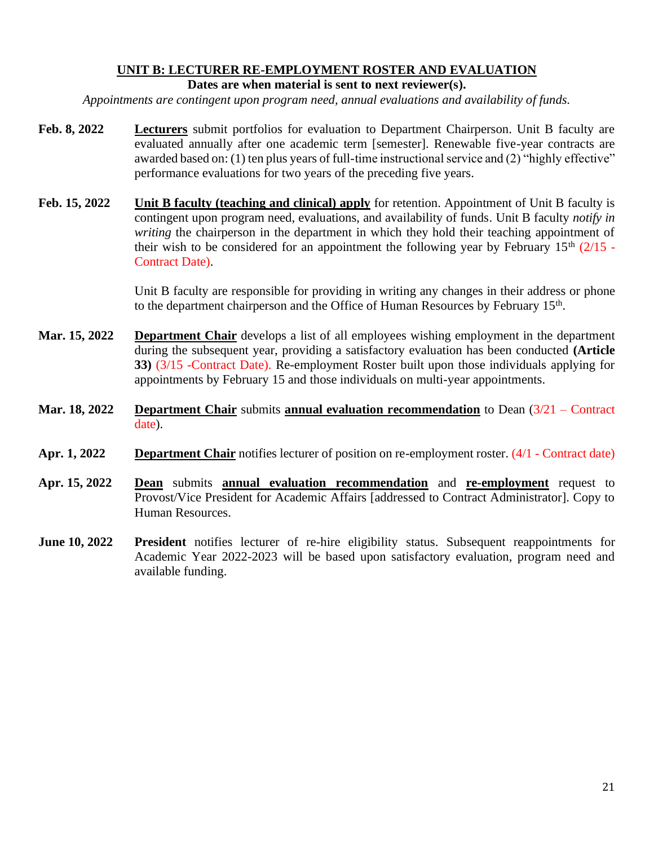# **UNIT B: LECTURER RE-EMPLOYMENT ROSTER AND EVALUATION**

#### **Dates are when material is sent to next reviewer(s).**

*Appointments are contingent upon program need, annual evaluations and availability of funds.*

- **Feb. 8, 2022 Lecturers** submit portfolios for evaluation to Department Chairperson. Unit B faculty are evaluated annually after one academic term [semester]. Renewable five-year contracts are awarded based on: (1) ten plus years of full-time instructional service and (2) "highly effective" performance evaluations for two years of the preceding five years.
- **Feb. 15, 2022 Unit B faculty (teaching and clinical) apply** for retention. Appointment of Unit B faculty is contingent upon program need, evaluations, and availability of funds. Unit B faculty *notify in writing* the chairperson in the department in which they hold their teaching appointment of their wish to be considered for an appointment the following year by February  $15<sup>th</sup>$  (2/15 -Contract Date).

Unit B faculty are responsible for providing in writing any changes in their address or phone to the department chairperson and the Office of Human Resources by February 15<sup>th</sup>.

- **Mar. 15, 2022 Department Chair** develops a list of all employees wishing employment in the department during the subsequent year, providing a satisfactory evaluation has been conducted **(Article 33)** (3/15 -Contract Date). Re-employment Roster built upon those individuals applying for appointments by February 15 and those individuals on multi-year appointments.
- **Mar. 18, 2022 Department Chair** submits **annual evaluation recommendation** to Dean (3/21 Contract date).
- **Apr. 1, 2022 Department Chair** notifies lecturer of position on re-employment roster. (4/1 Contract date)
- **Apr. 15, 2022 Dean** submits **annual evaluation recommendation** and **re-employment** request to Provost/Vice President for Academic Affairs [addressed to Contract Administrator]. Copy to Human Resources.
- **June 10, 2022 President** notifies lecturer of re-hire eligibility status. Subsequent reappointments for Academic Year 2022-2023 will be based upon satisfactory evaluation, program need and available funding.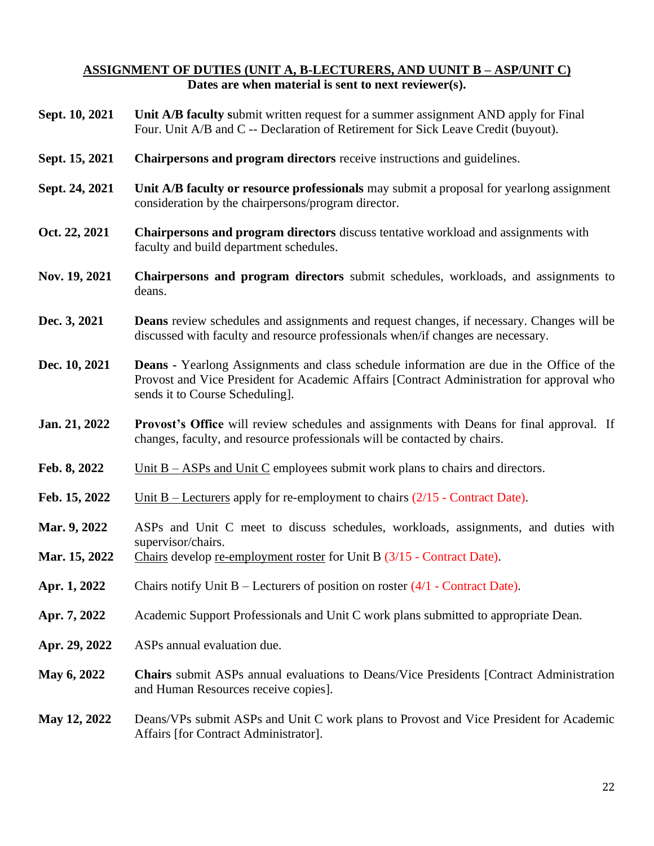#### **ASSIGNMENT OF DUTIES (UNIT A, B-LECTURERS, AND UUNIT B – ASP/UNIT C) Dates are when material is sent to next reviewer(s).**

- **Sept. 10, 2021 Unit A/B faculty s**ubmit written request for a summer assignment AND apply for Final Four. Unit A/B and C -- Declaration of Retirement for Sick Leave Credit (buyout).
- **Sept. 15, 2021 Chairpersons and program directors** receive instructions and guidelines.
- **Sept. 24, 2021 Unit A/B faculty or resource professionals** may submit a proposal for yearlong assignment consideration by the chairpersons/program director.
- **Oct. 22, 2021 Chairpersons and program directors** discuss tentative workload and assignments with faculty and build department schedules.
- **Nov. 19, 2021 Chairpersons and program directors** submit schedules, workloads, and assignments to deans.
- **Dec. 3, 2021 Deans** review schedules and assignments and request changes, if necessary. Changes will be discussed with faculty and resource professionals when/if changes are necessary.
- **Dec. 10, 2021 Deans -** Yearlong Assignments and class schedule information are due in the Office of the Provost and Vice President for Academic Affairs [Contract Administration for approval who sends it to Course Scheduling].
- **Jan. 21, 2022 Provost's Office** will review schedules and assignments with Deans for final approval. If changes, faculty, and resource professionals will be contacted by chairs.
- Feb. 8, 2022 Unit B ASPs and Unit C employees submit work plans to chairs and directors.
- Feb. 15, 2022 Unit B Lecturers apply for re-employment to chairs  $(2/15$  Contract Date).
- **Mar. 9, 2022** ASPs and Unit C meet to discuss schedules, workloads, assignments, and duties with supervisor/chairs.
- Mar. 15, 2022 Chairs develop <u>re-employment roster</u> for Unit B (3/15 Contract Date).
- **Apr. 1, 2022** Chairs notify Unit B Lecturers of position on roster (4/1 Contract Date).
- **Apr. 7, 2022** Academic Support Professionals and Unit C work plans submitted to appropriate Dean.
- **Apr. 29, 2022** ASPs annual evaluation due.
- **May 6, 2022 Chairs** submit ASPs annual evaluations to Deans/Vice Presidents [Contract Administration and Human Resources receive copies].
- **May 12, 2022** Deans/VPs submit ASPs and Unit C work plans to Provost and Vice President for Academic Affairs [for Contract Administrator].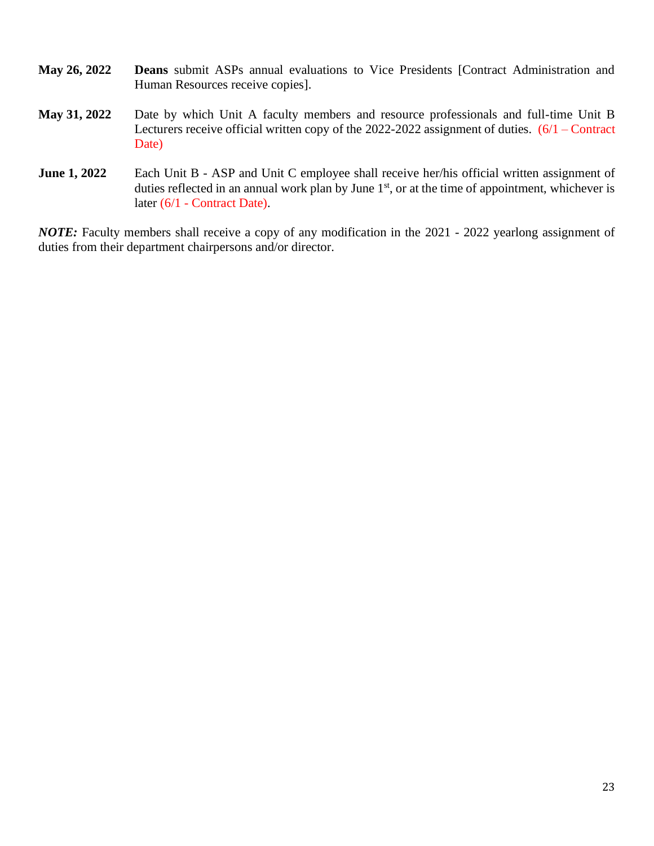| <b>May 26, 2022</b> | <b>Deans</b> submit ASPs annual evaluations to Vice Presidents [Contract Administration and |
|---------------------|---------------------------------------------------------------------------------------------|
|                     | Human Resources receive copies.                                                             |

- **May 31, 2022** Date by which Unit A faculty members and resource professionals and full-time Unit B Lecturers receive official written copy of the 2022-2022 assignment of duties. (6/1 – Contract Date)
- **June 1, 2022** Each Unit B ASP and Unit C employee shall receive her/his official written assignment of duties reflected in an annual work plan by June  $1<sup>st</sup>$ , or at the time of appointment, whichever is later (6/1 - Contract Date).

*NOTE:* Faculty members shall receive a copy of any modification in the 2021 - 2022 yearlong assignment of duties from their department chairpersons and/or director.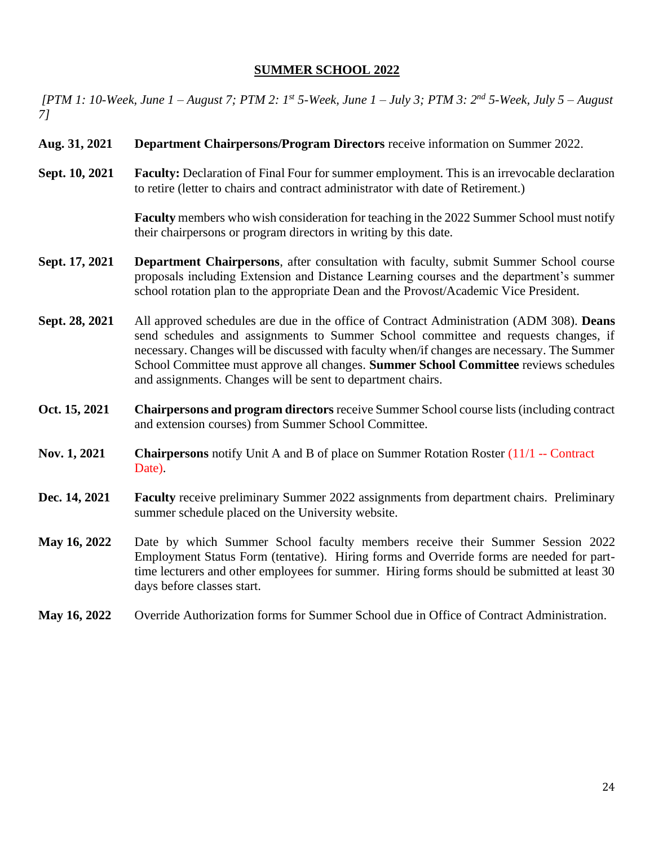#### **SUMMER SCHOOL 2022**

*[PTM 1: 10-Week, June 1 – August 7; PTM 2: 1st 5-Week, June 1 – July 3; PTM 3: 2nd 5-Week, July 5 – August 7]*

- **Aug. 31, 2021 Department Chairpersons/Program Directors** receive information on Summer 2022.
- **Sept. 10, 2021 Faculty:** Declaration of Final Four for summer employment. This is an irrevocable declaration to retire (letter to chairs and contract administrator with date of Retirement.)

**Faculty** members who wish consideration for teaching in the 2022 Summer School must notify their chairpersons or program directors in writing by this date.

- **Sept. 17, 2021 Department Chairpersons**, after consultation with faculty, submit Summer School course proposals including Extension and Distance Learning courses and the department's summer school rotation plan to the appropriate Dean and the Provost/Academic Vice President.
- **Sept. 28, 2021** All approved schedules are due in the office of Contract Administration (ADM 308). **Deans** send schedules and assignments to Summer School committee and requests changes, if necessary. Changes will be discussed with faculty when/if changes are necessary. The Summer School Committee must approve all changes. **Summer School Committee** reviews schedules and assignments. Changes will be sent to department chairs.
- **Oct. 15, 2021 Chairpersons and program directors** receive Summer School course lists (including contract and extension courses) from Summer School Committee.
- **Nov. 1, 2021 Chairpersons** notify Unit A and B of place on Summer Rotation Roster (11/1 -- Contract Date).
- **Dec. 14, 2021 Faculty** receive preliminary Summer 2022 assignments from department chairs. Preliminary summer schedule placed on the University website.
- **May 16, 2022** Date by which Summer School faculty members receive their Summer Session 2022 Employment Status Form (tentative). Hiring forms and Override forms are needed for parttime lecturers and other employees for summer. Hiring forms should be submitted at least 30 days before classes start.
- **May 16, 2022** Override Authorization forms for Summer School due in Office of Contract Administration.